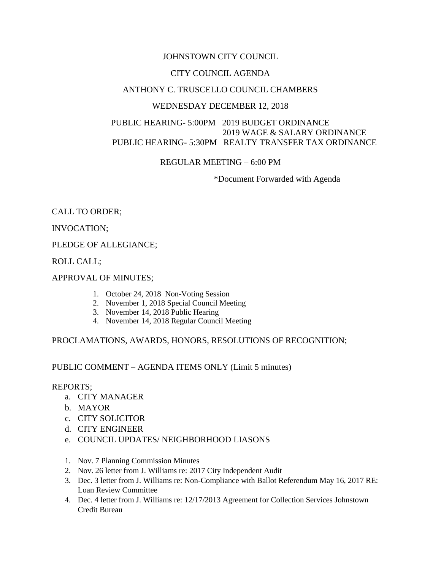#### JOHNSTOWN CITY COUNCIL

### CITY COUNCIL AGENDA

### ANTHONY C. TRUSCELLO COUNCIL CHAMBERS

#### WEDNESDAY DECEMBER 12, 2018

### PUBLIC HEARING- 5:00PM 2019 BUDGET ORDINANCE 2019 WAGE & SALARY ORDINANCE PUBLIC HEARING- 5:30PM REALTY TRANSFER TAX ORDINANCE

## REGULAR MEETING – 6:00 PM

\*Document Forwarded with Agenda

## CALL TO ORDER;

INVOCATION;

#### PLEDGE OF ALLEGIANCE;

ROLL CALL;

#### APPROVAL OF MINUTES;

- 1. October 24, 2018 Non-Voting Session
- 2. November 1, 2018 Special Council Meeting
- 3. November 14, 2018 Public Hearing
- 4. November 14, 2018 Regular Council Meeting

#### PROCLAMATIONS, AWARDS, HONORS, RESOLUTIONS OF RECOGNITION;

#### PUBLIC COMMENT – AGENDA ITEMS ONLY (Limit 5 minutes)

#### REPORTS;

- a. CITY MANAGER
- b. MAYOR
- c. CITY SOLICITOR
- d. CITY ENGINEER
- e. COUNCIL UPDATES/ NEIGHBORHOOD LIASONS
- 1. Nov. 7 Planning Commission Minutes
- 2. Nov. 26 letter from J. Williams re: 2017 City Independent Audit
- 3. Dec. 3 letter from J. Williams re: Non-Compliance with Ballot Referendum May 16, 2017 RE: Loan Review Committee
- 4. Dec. 4 letter from J. Williams re: 12/17/2013 Agreement for Collection Services Johnstown Credit Bureau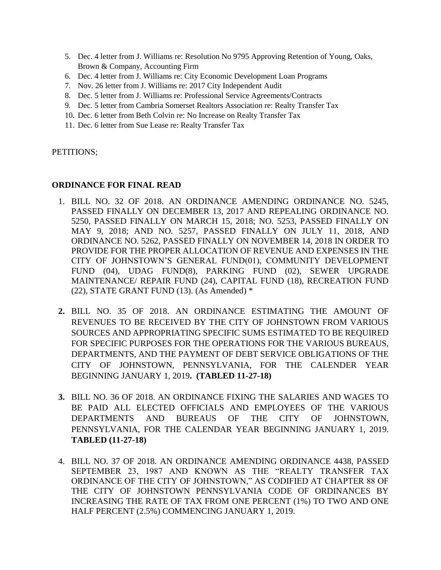- 5. Dec. 4 letter from J. Williams re: Resolution No 9795 Approving Retention of Young, Oaks, Brown & Company, Accounting Firm
- 6. Dec. 4 letter from J. Williams re: City Economic Development Loan Programs
- 7. Nov. 26 letter from J. Williams re: 2017 City Independent Audit
- 8. Dec. 5 letter from J. Williams re: Professional Service Agreements/Contracts
- 9. Dec. 5 letter from Cambria Somerset Realtors Association re: Realty Transfer Tax
- 10. Dec. 6 letter from Beth Colvin re: No Increase on Realty Transfer Tax
- 11. Dec. 6 letter from Sue Lease re: Realty Transfer Tax

PETITIONS;

#### **ORDINANCE FOR FINAL READ**

- 1. BILL NO. 32 OF 2018. AN ORDINANCE AMENDING ORDINANCE NO. 5245, PASSED FINALLY ON DECEMBER 13, 2017 AND REPEALING ORDINANCE NO. 5250, PASSED FINALLY ON MARCH 15, 2018; NO. 5253, PASSED FINALLY ON MAY 9, 2018; AND NO. 5257, PASSED FINALLY ON JULY 11, 2018, AND ORDINANCE NO. 5262, PASSED FINALLY ON NOVEMBER 14, 2018 IN ORDER TO PROVIDE FOR THE PROPER ALLOCATION OF REVENUE AND EXPENSES IN THE CITY OF JOHNSTOWN'S GENERAL FUND(01), COMMUNITY DEVELOPMENT FUND (04), UDAG FUND(8), PARKING FUND (02), SEWER UPGRADE MAINTENANCE/ REPAIR FUND (24), CAPITAL FUND (18), RECREATION FUND (22), STATE GRANT FUND (13). (As Amended)  $*$
- **2.** BILL NO. 35 OF 2018. AN ORDINANCE ESTIMATING THE AMOUNT OF REVENUES TO BE RECEIVED BY THE CITY OF JOHNSTOWN FROM VARIOUS SOURCES AND APPROPRIATING SPECIFIC SUMS ESTIMATED TO BE REQUIRED FOR SPECIFIC PURPOSES FOR THE OPERATIONS FOR THE VARIOUS BUREAUS, DEPARTMENTS, AND THE PAYMENT OF DEBT SERVICE OBLIGATIONS OF THE CITY OF JOHNSTOWN, PENNSYLVANIA, FOR THE CALENDER YEAR BEGINNING JANUARY 1, 2019**. (TABLED 11-27-18)**
- **3.** BILL NO. 36 OF 2018. AN ORDINANCE FIXING THE SALARIES AND WAGES TO BE PAID ALL ELECTED OFFICIALS AND EMPLOYEES OF THE VARIOUS DEPARTMENTS AND BUREAUS OF THE CITY OF JOHNSTOWN, PENNSYLVANIA, FOR THE CALENDAR YEAR BEGINNING JANUARY 1, 2019. **TABLED (11-27-18)**
- 4. BILL NO. 37 OF 2018. AN ORDINANCE AMENDING ORDINANCE 4438, PASSED SEPTEMBER 23, 1987 AND KNOWN AS THE "REALTY TRANSFER TAX ORDINANCE OF THE CITY OF JOHNSTOWN," AS CODIFIED AT CHAPTER 88 OF THE CITY OF JOHNSTOWN PENNSYLVANIA CODE OF ORDINANCES BY INCREASING THE RATE OF TAX FROM ONE PERCENT (1%) TO TWO AND ONE HALF PERCENT (2.5%) COMMENCING JANUARY 1, 2019.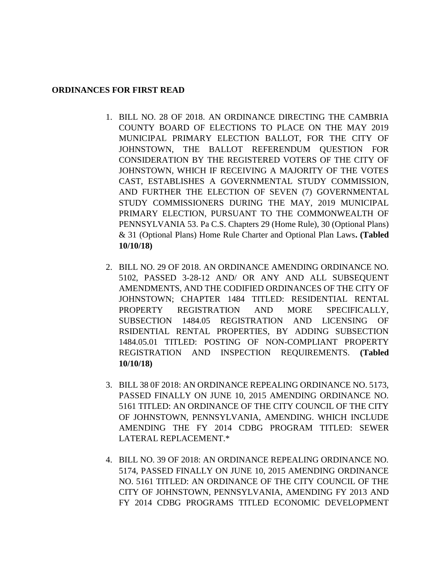#### **ORDINANCES FOR FIRST READ**

- 1. BILL NO. 28 OF 2018. AN ORDINANCE DIRECTING THE CAMBRIA COUNTY BOARD OF ELECTIONS TO PLACE ON THE MAY 2019 MUNICIPAL PRIMARY ELECTION BALLOT, FOR THE CITY OF JOHNSTOWN, THE BALLOT REFERENDUM QUESTION FOR CONSIDERATION BY THE REGISTERED VOTERS OF THE CITY OF JOHNSTOWN, WHICH IF RECEIVING A MAJORITY OF THE VOTES CAST, ESTABLISHES A GOVERNMENTAL STUDY COMMISSION, AND FURTHER THE ELECTION OF SEVEN (7) GOVERNMENTAL STUDY COMMISSIONERS DURING THE MAY, 2019 MUNICIPAL PRIMARY ELECTION, PURSUANT TO THE COMMONWEALTH OF PENNSYLVANIA 53. Pa C.S. Chapters 29 (Home Rule), 30 (Optional Plans) & 31 (Optional Plans) Home Rule Charter and Optional Plan Laws**. (Tabled 10/10/18)**
- 2. BILL NO. 29 OF 2018. AN ORDINANCE AMENDING ORDINANCE NO. 5102, PASSED 3-28-12 AND/ OR ANY AND ALL SUBSEQUENT AMENDMENTS, AND THE CODIFIED ORDINANCES OF THE CITY OF JOHNSTOWN; CHAPTER 1484 TITLED: RESIDENTIAL RENTAL PROPERTY REGISTRATION AND MORE SPECIFICALLY, SUBSECTION 1484.05 REGISTRATION AND LICENSING OF RSIDENTIAL RENTAL PROPERTIES, BY ADDING SUBSECTION 1484.05.01 TITLED: POSTING OF NON-COMPLIANT PROPERTY REGISTRATION AND INSPECTION REQUIREMENTS. **(Tabled 10/10/18)**
- 3. BILL 38 0F 2018: AN ORDINANCE REPEALING ORDINANCE NO. 5173, PASSED FINALLY ON JUNE 10, 2015 AMENDING ORDINANCE NO. 5161 TITLED: AN ORDINANCE OF THE CITY COUNCIL OF THE CITY OF JOHNSTOWN, PENNSYLVANIA, AMENDING. WHICH INCLUDE AMENDING THE FY 2014 CDBG PROGRAM TITLED: SEWER LATERAL REPLACEMENT.\*
- 4. BILL NO. 39 OF 2018: AN ORDINANCE REPEALING ORDINANCE NO. 5174, PASSED FINALLY ON JUNE 10, 2015 AMENDING ORDINANCE NO. 5161 TITLED: AN ORDINANCE OF THE CITY COUNCIL OF THE CITY OF JOHNSTOWN, PENNSYLVANIA, AMENDING FY 2013 AND FY 2014 CDBG PROGRAMS TITLED ECONOMIC DEVELOPMENT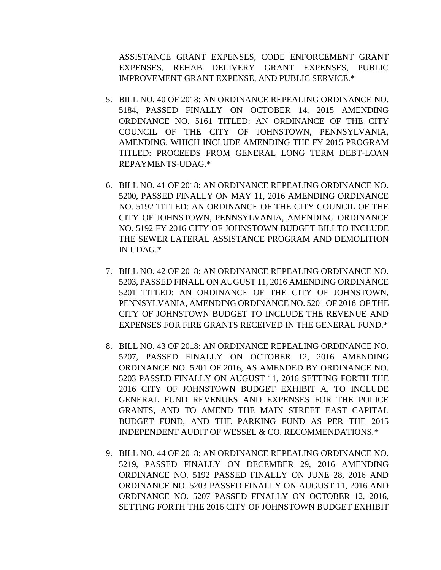ASSISTANCE GRANT EXPENSES, CODE ENFORCEMENT GRANT EXPENSES, REHAB DELIVERY GRANT EXPENSES, PUBLIC IMPROVEMENT GRANT EXPENSE, AND PUBLIC SERVICE.\*

- 5. BILL NO. 40 OF 2018: AN ORDINANCE REPEALING ORDINANCE NO. 5184, PASSED FINALLY ON OCTOBER 14, 2015 AMENDING ORDINANCE NO. 5161 TITLED: AN ORDINANCE OF THE CITY COUNCIL OF THE CITY OF JOHNSTOWN, PENNSYLVANIA, AMENDING. WHICH INCLUDE AMENDING THE FY 2015 PROGRAM TITLED: PROCEEDS FROM GENERAL LONG TERM DEBT-LOAN REPAYMENTS-UDAG.\*
- 6. BILL NO. 41 OF 2018: AN ORDINANCE REPEALING ORDINANCE NO. 5200, PASSED FINALLY ON MAY 11, 2016 AMENDING ORDINANCE NO. 5192 TITLED: AN ORDINANCE OF THE CITY COUNCIL OF THE CITY OF JOHNSTOWN, PENNSYLVANIA, AMENDING ORDINANCE NO. 5192 FY 2016 CITY OF JOHNSTOWN BUDGET BILLTO INCLUDE THE SEWER LATERAL ASSISTANCE PROGRAM AND DEMOLITION IN UDAG.\*
- 7. BILL NO. 42 OF 2018: AN ORDINANCE REPEALING ORDINANCE NO. 5203, PASSED FINALL ON AUGUST 11, 2016 AMENDING ORDINANCE 5201 TITLED: AN ORDINANCE OF THE CITY OF JOHNSTOWN, PENNSYLVANIA, AMENDING ORDINANCE NO. 5201 OF 2016 OF THE CITY OF JOHNSTOWN BUDGET TO INCLUDE THE REVENUE AND EXPENSES FOR FIRE GRANTS RECEIVED IN THE GENERAL FUND.\*
- 8. BILL NO. 43 OF 2018: AN ORDINANCE REPEALING ORDINANCE NO. 5207, PASSED FINALLY ON OCTOBER 12, 2016 AMENDING ORDINANCE NO. 5201 OF 2016, AS AMENDED BY ORDINANCE NO. 5203 PASSED FINALLY ON AUGUST 11, 2016 SETTING FORTH THE 2016 CITY OF JOHNSTOWN BUDGET EXHIBIT A, TO INCLUDE GENERAL FUND REVENUES AND EXPENSES FOR THE POLICE GRANTS, AND TO AMEND THE MAIN STREET EAST CAPITAL BUDGET FUND, AND THE PARKING FUND AS PER THE 2015 INDEPENDENT AUDIT OF WESSEL & CO. RECOMMENDATIONS.\*
- 9. BILL NO. 44 OF 2018: AN ORDINANCE REPEALING ORDINANCE NO. 5219, PASSED FINALLY ON DECEMBER 29, 2016 AMENDING ORDINANCE NO. 5192 PASSED FINALLY ON JUNE 28, 2016 AND ORDINANCE NO. 5203 PASSED FINALLY ON AUGUST 11, 2016 AND ORDINANCE NO. 5207 PASSED FINALLY ON OCTOBER 12, 2016, SETTING FORTH THE 2016 CITY OF JOHNSTOWN BUDGET EXHIBIT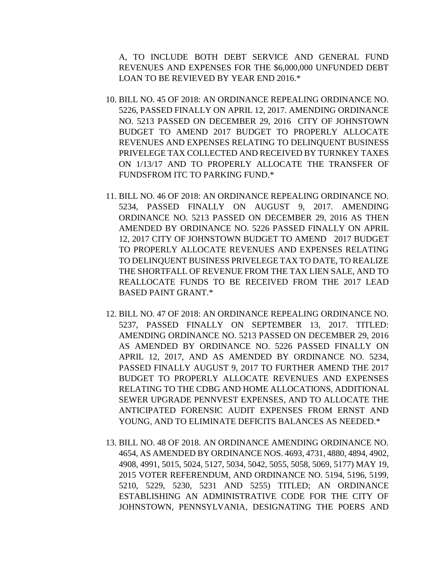A, TO INCLUDE BOTH DEBT SERVICE AND GENERAL FUND REVENUES AND EXPENSES FOR THE \$6,000,000 UNFUNDED DEBT LOAN TO BE REVIEVED BY YEAR END 2016.\*

- 10. BILL NO. 45 OF 2018: AN ORDINANCE REPEALING ORDINANCE NO. 5226, PASSED FINALLY ON APRIL 12, 2017. AMENDING ORDINANCE NO. 5213 PASSED ON DECEMBER 29, 2016 CITY OF JOHNSTOWN BUDGET TO AMEND 2017 BUDGET TO PROPERLY ALLOCATE REVENUES AND EXPENSES RELATING TO DELINQUENT BUSINESS PRIVELEGE TAX COLLECTED AND RECEIVED BY TURNKEY TAXES ON 1/13/17 AND TO PROPERLY ALLOCATE THE TRANSFER OF FUNDSFROM ITC TO PARKING FUND.\*
- 11. BILL NO. 46 OF 2018: AN ORDINANCE REPEALING ORDINANCE NO. 5234, PASSED FINALLY ON AUGUST 9, 2017. AMENDING ORDINANCE NO. 5213 PASSED ON DECEMBER 29, 2016 AS THEN AMENDED BY ORDINANCE NO. 5226 PASSED FINALLY ON APRIL 12, 2017 CITY OF JOHNSTOWN BUDGET TO AMEND 2017 BUDGET TO PROPERLY ALLOCATE REVENUES AND EXPENSES RELATING TO DELINQUENT BUSINESS PRIVELEGE TAX TO DATE, TO REALIZE THE SHORTFALL OF REVENUE FROM THE TAX LIEN SALE, AND TO REALLOCATE FUNDS TO BE RECEIVED FROM THE 2017 LEAD BASED PAINT GRANT.\*
- 12. BILL NO. 47 OF 2018: AN ORDINANCE REPEALING ORDINANCE NO. 5237, PASSED FINALLY ON SEPTEMBER 13, 2017. TITLED: AMENDING ORDINANCE NO. 5213 PASSED ON DECEMBER 29, 2016 AS AMENDED BY ORDINANCE NO. 5226 PASSED FINALLY ON APRIL 12, 2017, AND AS AMENDED BY ORDINANCE NO. 5234, PASSED FINALLY AUGUST 9, 2017 TO FURTHER AMEND THE 2017 BUDGET TO PROPERLY ALLOCATE REVENUES AND EXPENSES RELATING TO THE CDBG AND HOME ALLOCATIONS, ADDITIONAL SEWER UPGRADE PENNVEST EXPENSES, AND TO ALLOCATE THE ANTICIPATED FORENSIC AUDIT EXPENSES FROM ERNST AND YOUNG, AND TO ELIMINATE DEFICITS BALANCES AS NEEDED.\*
- 13. BILL NO. 48 OF 2018. AN ORDINANCE AMENDING ORDINANCE NO. 4654, AS AMENDED BY ORDINANCE NOS. 4693, 4731, 4880, 4894, 4902, 4908, 4991, 5015, 5024, 5127, 5034, 5042, 5055, 5058, 5069, 5177) MAY 19, 2015 VOTER REFERENDUM, AND ORDINANCE NO. 5194, 5196, 5199, 5210, 5229, 5230, 5231 AND 5255) TITLED; AN ORDINANCE ESTABLISHING AN ADMINISTRATIVE CODE FOR THE CITY OF JOHNSTOWN, PENNSYLVANIA, DESIGNATING THE POERS AND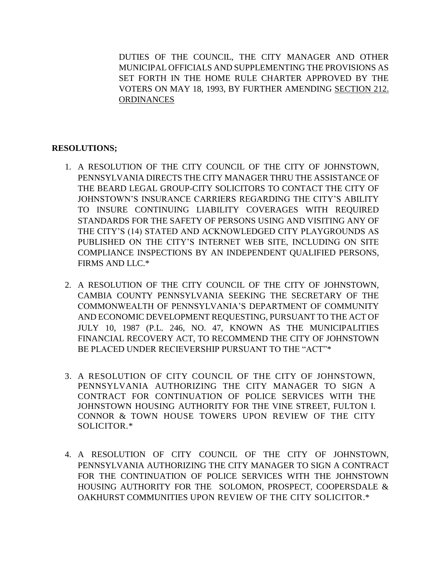DUTIES OF THE COUNCIL, THE CITY MANAGER AND OTHER MUNICIPAL OFFICIALS AND SUPPLEMENTING THE PROVISIONS AS SET FORTH IN THE HOME RULE CHARTER APPROVED BY THE VOTERS ON MAY 18, 1993, BY FURTHER AMENDING SECTION 212. **ORDINANCES** 

## **RESOLUTIONS;**

- 1. A RESOLUTION OF THE CITY COUNCIL OF THE CITY OF JOHNSTOWN, PENNSYLVANIA DIRECTS THE CITY MANAGER THRU THE ASSISTANCE OF THE BEARD LEGAL GROUP-CITY SOLICITORS TO CONTACT THE CITY OF JOHNSTOWN'S INSURANCE CARRIERS REGARDING THE CITY'S ABILITY TO INSURE CONTINUING LIABILITY COVERAGES WITH REQUIRED STANDARDS FOR THE SAFETY OF PERSONS USING AND VISITING ANY OF THE CITY'S (14) STATED AND ACKNOWLEDGED CITY PLAYGROUNDS AS PUBLISHED ON THE CITY'S INTERNET WEB SITE, INCLUDING ON SITE COMPLIANCE INSPECTIONS BY AN INDEPENDENT QUALIFIED PERSONS, FIRMS AND LLC.\*
- 2. A RESOLUTION OF THE CITY COUNCIL OF THE CITY OF JOHNSTOWN, CAMBIA COUNTY PENNSYLVANIA SEEKING THE SECRETARY OF THE COMMONWEALTH OF PENNSYLVANIA'S DEPARTMENT OF COMMUNITY AND ECONOMIC DEVELOPMENT REQUESTING, PURSUANT TO THE ACT OF JULY 10, 1987 (P.L. 246, NO. 47, KNOWN AS THE MUNICIPALITIES FINANCIAL RECOVERY ACT, TO RECOMMEND THE CITY OF JOHNSTOWN BE PLACED UNDER RECIEVERSHIP PURSUANT TO THE "ACT"\*
- 3. A RESOLUTION OF CITY COUNCIL OF THE CITY OF JOHNSTOWN, PENNSYLVANIA AUTHORIZING THE CITY MANAGER TO SIGN A CONTRACT FOR CONTINUATION OF POLICE SERVICES WITH THE JOHNSTOWN HOUSING AUTHORITY FOR THE VINE STREET, FULTON I. CONNOR & TOWN HOUSE TOWERS UPON REVIEW OF THE CITY SOLICITOR.\*
- 4. A RESOLUTION OF CITY COUNCIL OF THE CITY OF JOHNSTOWN, PENNSYLVANIA AUTHORIZING THE CITY MANAGER TO SIGN A CONTRACT FOR THE CONTINUATION OF POLICE SERVICES WITH THE JOHNSTOWN HOUSING AUTHORITY FOR THE SOLOMON, PROSPECT, COOPERSDALE & OAKHURST COMMUNITIES UPON REVIEW OF THE CITY SOLICITOR.\*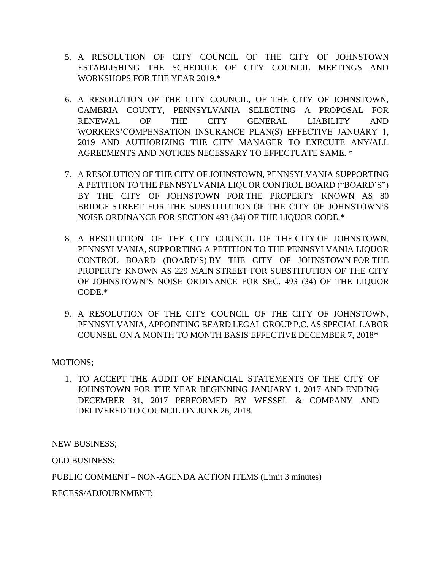- 5. A RESOLUTION OF CITY COUNCIL OF THE CITY OF JOHNSTOWN ESTABLISHING THE SCHEDULE OF CITY COUNCIL MEETINGS AND WORKSHOPS FOR THE YEAR 2019.\*
- 6. A RESOLUTION OF THE CITY COUNCIL, OF THE CITY OF JOHNSTOWN, CAMBRIA COUNTY, PENNSYLVANIA SELECTING A PROPOSAL FOR RENEWAL OF THE CITY GENERAL LIABILITY AND WORKERS'COMPENSATION INSURANCE PLAN(S) EFFECTIVE JANUARY 1, 2019 AND AUTHORIZING THE CITY MANAGER TO EXECUTE ANY/ALL AGREEMENTS AND NOTICES NECESSARY TO EFFECTUATE SAME. \*
- 7. A RESOLUTION OF THE CITY OF JOHNSTOWN, PENNSYLVANIA SUPPORTING A PETITION TO THE PENNSYLVANIA LIQUOR CONTROL BOARD ("BOARD'S") BY THE CITY OF JOHNSTOWN FOR THE PROPERTY KNOWN AS 80 BRIDGE STREET FOR THE SUBSTITUTION OF THE CITY OF JOHNSTOWN'S NOISE ORDINANCE FOR SECTION 493 (34) OF THE LIQUOR CODE.\*
- 8. A RESOLUTION OF THE CITY COUNCIL OF THE CITY OF JOHNSTOWN, PENNSYLVANIA, SUPPORTING A PETITION TO THE PENNSYLVANIA LIQUOR CONTROL BOARD (BOARD'S) BY THE CITY OF JOHNSTOWN FOR THE PROPERTY KNOWN AS 229 MAIN STREET FOR SUBSTITUTION OF THE CITY OF JOHNSTOWN'S NOISE ORDINANCE FOR SEC. 493 (34) OF THE LIQUOR CODE.\*
- 9. A RESOLUTION OF THE CITY COUNCIL OF THE CITY OF JOHNSTOWN, PENNSYLVANIA, APPOINTING BEARD LEGAL GROUP P.C. AS SPECIAL LABOR COUNSEL ON A MONTH TO MONTH BASIS EFFECTIVE DECEMBER 7, 2018\*

# MOTIONS;

1. TO ACCEPT THE AUDIT OF FINANCIAL STATEMENTS OF THE CITY OF JOHNSTOWN FOR THE YEAR BEGINNING JANUARY 1, 2017 AND ENDING DECEMBER 31, 2017 PERFORMED BY WESSEL & COMPANY AND DELIVERED TO COUNCIL ON JUNE 26, 2018.

NEW BUSINESS;

OLD BUSINESS;

PUBLIC COMMENT – NON-AGENDA ACTION ITEMS (Limit 3 minutes)

RECESS/ADJOURNMENT;